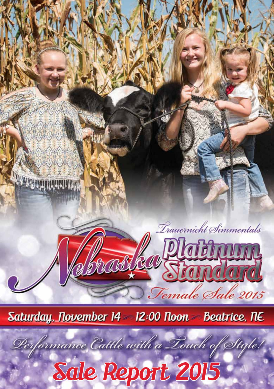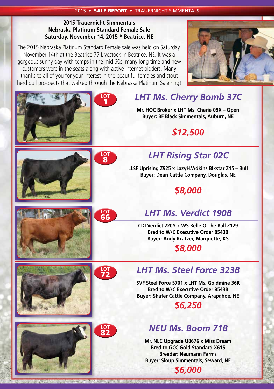### **2015 Trauernicht Simmentals Nebraska Platinum Standard Female Sale Saturday, November 14, 2015 \* Beatrice, NE**

The 2015 Nebraska Platinum Standard Female sale was held on Saturday, November 14th at the Beatrice 77 Livestock in Beatrice, NE. It was a gorgeous sunny day with temps in the mid 60s, many long time and new customers were in the seats along with active internet bidders. Many thanks to all of you for your interest in the beautiful females and stout herd bull prospects that walked through the Nebraska Platinum Sale ring!





ACCORD TO A TELEVISION CONTRACTOR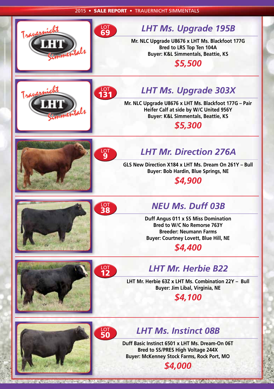

**Mr. NLC Upgrade U8676 x LHT Ms. Blackfoot 177G Bred to LRS Top Ten 104A Buyer: K&L Simmentals, Beattie, KS**

*\$5,500*





# LOT *LHT Ms. Upgrade 303X* <sup>131</sup>

**Mr. NLC Upgrade U8676 x LHT Ms. Blackfoot 177G – Pair Heifer Calf at side by W/C United 956Y Buyer: K&L Simmentals, Beattie, KS**

*\$5,300*



## **LHT Mr. Direction 276A**

**GLS New Direction X184 x LHT Ms. Dream On 261Y – Bull Buyer: Bob Hardin, Blue Springs, NE**

*\$4,900*



## LOT *NEU Ms. Duff 03B* <sup>38</sup>

**Duff Angus 011 x SS Miss Domination Bred to W/C No Remorse 763Y Breeder: Neumann Farms Buyer: Courtney Lovett, Blue Hill, NE** *\$4,400*







## LOT *LHT Mr. Herbie B22* <sup>12</sup>

**LHT Mr. Herbie 63Z x LHT Ms. Combination 22Y – Bull Buyer: Jim Libal, Virginia, NE**

## *\$4,100*

# LOT **LHT Ms. Instinct 08B**

**Duff Basic Instinct 6501 x LHT Ms. Dream-On 06T Bred to SS/PRES High Voltage 244X Buyer: McKenney Stock Farms, Rock Port, MO**

*\$4,000*

**BUILDING TO THE ATT ANTIQUES**